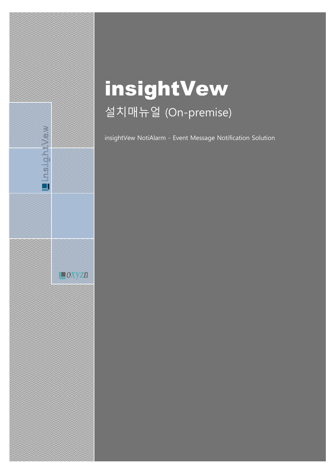# insightVew 설치매뉴얼 (On-premise)

Lin.s.i.g.h.t.V.e.w

 $\Box$ OXYZn

insightVew NotiAlarm - Event Message Notification Solution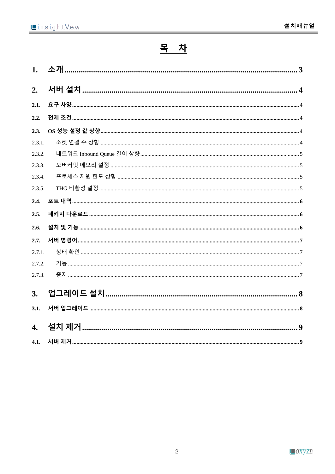# 목 차

| 1.               |  |
|------------------|--|
| 2.               |  |
| 2.1.             |  |
| 2.2.             |  |
| 2.3.             |  |
| 2.3.1.           |  |
| 2.3.2.           |  |
| 2.3.3.           |  |
| 2.3.4.           |  |
| 2.3.5.           |  |
| 2.4.             |  |
| 2.5.             |  |
| 2.6.             |  |
| 2.7.             |  |
| 2.7.1.           |  |
| 2.7.2.           |  |
| 2.7.3.           |  |
| 3.               |  |
| 3.1.             |  |
| $\overline{4}$ . |  |
| 4.1.             |  |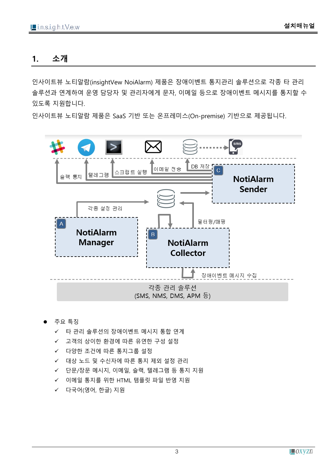### <span id="page-2-0"></span>**1. 소개**

인사이트뷰 노티알람(insightVew NoiAlarm) 제품은 장애이벤트 통지관리 솔루션으로 각종 타 관리 솔루션과 연계하여 운영 담당자 및 관리자에게 문자, 이메일 등으로 장애이벤트 메시지를 통지할 수 있도록 지원합니다.

인사이트뷰 노티알람 제품은 SaaS 기반 또는 온프레미스(On-premise) 기반으로 제공됩니다.



#### ⚫ 주요 특징

- ✓ 타 관리 솔루션의 장애이벤트 메시지 통합 연계
- ✓ 고객의 상이한 환경에 따른 유연한 구성 설정
- ✓ 다양한 조건에 따른 통지그룹 설정
- ✓ 대상 노드 및 수신자에 따른 통지 제외 설정 관리
- ✓ 단문/장문 메시지, 이메일, 슬랙, 텔레그램 등 통지 지원
- ✓ 이메일 통지를 위한 HTML 템플릿 파일 반영 지원
- ✓ 다국어(영어, 한글) 지원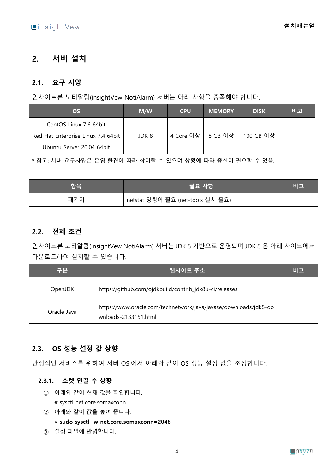## <span id="page-3-0"></span>**2. 서버 설치**

#### <span id="page-3-1"></span>**2.1. 요구 사양**

인사이트뷰 노티알람(insightVew NotiAlarm) 서버는 아래 사항을 충족해야 합니다.

| OS.                                | M/W   | <b>CPU</b> | <b>MEMORY</b> | <b>DISK</b> | 비고 |
|------------------------------------|-------|------------|---------------|-------------|----|
| CentOS Linux 7.6 64bit             |       |            |               |             |    |
| Red Hat Enterprise Linux 7.4 64bit | JDK 8 | 4 Core 이상  | 8 GB 이상       | 100 GB 이상   |    |
| Ubuntu Server 20.04 64bit          |       |            |               |             |    |

\* 참고: 서버 요구사양은 운영 환경에 따라 상이할 수 있으며 상황에 따라 증설이 필요할 수 있음.

| 항목  | 필요 사항                            | 비고 |
|-----|----------------------------------|----|
| 패키지 | netstat 명령어 필요 (net-tools 설치 필요) |    |

#### <span id="page-3-2"></span>**2.2. 전제 조건**

인사이트뷰 노티알람(insightVew NotiAlarm) 서버는 JDK 8 기반으로 운영되며 JDK 8 은 아래 사이트에서 다운로드하여 설치할 수 있습니다.

| 구분                                                                                                      | 웹사이트 주소                                                | 비고 |
|---------------------------------------------------------------------------------------------------------|--------------------------------------------------------|----|
| OpenJDK                                                                                                 | https://github.com/ojdkbuild/contrib_jdk8u-ci/releases |    |
| https://www.oracle.com/technetwork/java/javase/downloads/jdk8-do<br>Oracle Java<br>wnloads-2133151.html |                                                        |    |

#### <span id="page-3-3"></span>**2.3. OS 성능 설정 값 상향**

안정적인 서비스를 위하여 서버 OS 에서 아래와 같이 OS 성능 설정 값을 조정합니다.

#### <span id="page-3-4"></span>**2.3.1. 소켓 연결 수 상향**

- $(1)$  아래와 같이 현재 값을 확인합니다. # sysctl net.core.somaxconn
- ② 아래와 같이 값을 높여 줍니다. # **sudo sysctl -w net.core.somaxconn=2048**
- ③ 설정 파일에 반영합니다.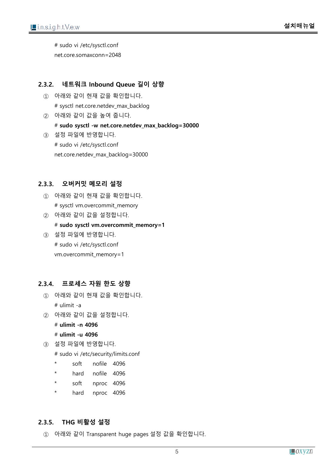# sudo vi /etc/sysctl.conf net.core.somaxconn=2048

#### <span id="page-4-0"></span>**2.3.2. 네트워크 Inbound Queue 길이 상향**

- $(1)$  아래와 같이 현재 값을 확인합니다. # sysctl net.core.netdev\_max\_backlog
- ② 아래와 같이 값을 높여 줍니다. # **sudo sysctl -w net.core.netdev\_max\_backlog=30000**
- ③ 설정 파일에 반영합니다. # sudo vi /etc/sysctl.conf net.core.netdev\_max\_backlog=30000

#### <span id="page-4-1"></span>**2.3.3. 오버커밋 메모리 설정**

- $(1)$  아래와 같이 현재 값을 확인합니다. # sysctl vm.overcommit\_memory
- ② 아래와 같이 값을 설정합니다. # **sudo sysctl vm.overcommit\_memory=1**
- ③ 설정 파일에 반영합니다. # sudo vi /etc/sysctl.conf vm.overcommit\_memory=1

#### <span id="page-4-2"></span>**2.3.4. 프로세스 자원 한도 상향**

- $(1)$  아래와 같이 현재 값을 확인합니다. # ulimit -a
- ② 아래와 같이 값을 설정합니다.

# **ulimit -n 4096**

# **ulimit -u 4096**

③ 설정 파일에 반영합니다.

# sudo vi /etc/security/limits.conf

- \* soft nofile 4096
- hard nofile 4096
- \* soft nproc 4096
- \* hard nproc 4096

#### <span id="page-4-3"></span>**2.3.5. THG 비활성 설정**

① 아래와 같이 Transparent huge pages 설정 값을 확인합니다.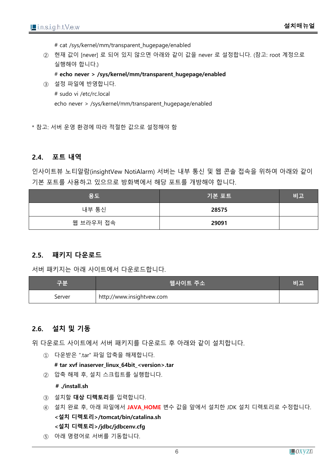# cat /sys/kernel/mm/transparent\_hugepage/enabled

② 현재 값이 [never] 로 되어 있지 않으면 아래와 같이 값을 never 로 설정합니다. (참고: root 계정으로 실행해야 합니다.)

# **echo never > /sys/kernel/mm/transparent\_hugepage/enabled**

③ 설정 파일에 반영합니다. # sudo vi /etc/rc.local echo never > /sys/kernel/mm/transparent\_hugepage/enabled

\* 참고: 서버 운영 환경에 따라 적절한 값으로 설정해야 함

#### <span id="page-5-0"></span>**2.4. 포트 내역**

인사이트뷰 노티알람(insightVew NotiAlarm) 서버는 내부 통신 및 웹 콘솔 접속을 위하여 아래와 같이 기본 포트를 사용하고 있으므로 방화벽에서 해당 포트를 개방해야 합니다.

| 용도        | 기본 포트 | 비고 |
|-----------|-------|----|
| 내부 통신     | 28575 |    |
| 웹 브라우저 접속 | 29091 |    |

#### <span id="page-5-1"></span>**2.5. 패키지 다운로드**

서버 패키지는 아래 사이트에서 다운로드합니다.

| 구분     | 웹사이트 주소                   | 비고 |
|--------|---------------------------|----|
| Server | http://www.insightvew.com |    |

#### <span id="page-5-2"></span>**2.6. 설치 및 기동**

위 다운로드 사이트에서 서버 패키지를 다운로드 후 아래와 같이 설치합니다.

 $(1)$  다운받은 ".tar" 파일 압축을 해제합니다.

**# tar xvf inaserver\_linux\_64bit\_<version>.tar**

② 압축 해제 후, 설치 스크립트를 실행합니다.

**# ./install.sh**

- ③ 설치할 **대상 디렉토리**를 입력합니다.
- ④ 설치 완료 후, 아래 파일에서 **JAVA\_HOME** 변수 값을 앞에서 설치한 JDK 설치 디렉토리로 수정합니다. **<설치 디렉토리>/tomcat/bin/catalina.sh <설치 디렉토리>/jdbc/jdbcenv.cfg**
- ⑤ 아래 명령어로 서버를 기동합니다.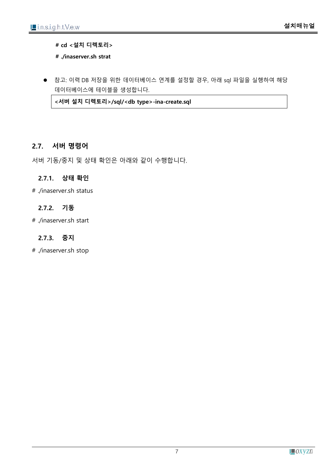**# cd <설치 디렉토리>**

**# ./inaserver.sh strat**

● 참고: 이력 DB 저장을 위한 데이터베이스 연계를 설정할 경우, 아래 sql 파일을 실행하여 해당 데이터베이스에 테이블을 생성합니다.

**<서버 설치 디렉토리>/sql/<db type>-ina-create.sql**

#### <span id="page-6-0"></span>**2.7. 서버 명령어**

서버 기동/중지 및 상태 확인은 아래와 같이 수행합니다.

#### <span id="page-6-1"></span>**2.7.1. 상태 확인**

# ./inaserver.sh status

#### <span id="page-6-2"></span>**2.7.2. 기동**

# ./inaserver.sh start

#### <span id="page-6-3"></span>**2.7.3. 중지**

# ./inaserver.sh stop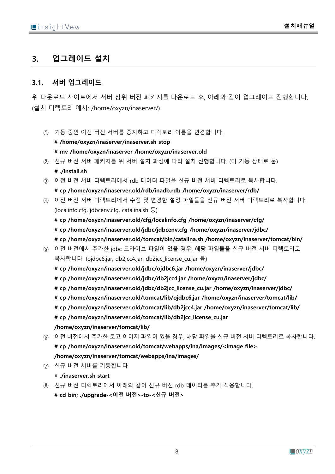# <span id="page-7-0"></span>**3. 업그레이드 설치**

#### <span id="page-7-1"></span>**3.1. 서버 업그레이드**

위 다운로드 사이트에서 서버 상위 버전 패키지를 다운로드 후, 아래와 같이 업그레이드 진행합니다. (설치 디렉토리 예시: /home/oxyzn/inaserver/)

- ① 기동 중인 이전 버전 서버를 중지하고 디렉토리 이름을 변경합니다. **# /home/oxyzn/inaserver/inaserver.sh stop # mv /home/oxyzn/inaserver /home/oxyzn/inaserver.old**
- ② 신규 버전 서버 패키지를 위 서버 설치 과정에 따라 설치 진행합니다. (미 기동 상태로 둠) **# ./install.sh**
- ③ 이전 버전 서버 디렉토리에서 rdb 데이터 파일을 신규 버전 서버 디렉토리로 복사합니다.

**# cp /home/oxyzn/inaserver.old/rdb/inadb.rdb /home/oxyzn/inaserver/rdb/**

④ 이전 버전 서버 디렉토리에서 수정 및 변경한 설정 파일들을 신규 버전 서버 디렉토리로 복사합니다. (localinfo.cfg, jdbcenv.cfg, catalina.sh 등)

**# cp /home/oxyzn/inaserver.old/cfg/localinfo.cfg /home/oxyzn/inaserver/cfg/ # cp /home/oxyzn/inaserver.old/jdbc/jdbcenv.cfg /home/oxyzn/inaserver/jdbc/ # cp /home/oxyzn/inaserver.old/tomcat/bin/catalina.sh /home/oxyzn/inaserver/tomcat/bin/**

- ⑤ 이전 버전에서 추가한 jdbc 드라이브 파일이 있을 경우, 해당 파일들을 신규 버전 서버 디렉토리로 복사합니다. (ojdbc6.jar, db2jcc4.jar, db2jcc\_license\_cu.jar 등)
	- **# cp /home/oxyzn/inaserver.old/jdbc/ojdbc6.jar /home/oxyzn/inaserver/jdbc/**
	- **# cp /home/oxyzn/inaserver.old/jdbc/db2jcc4.jar /home/oxyzn/inaserver/jdbc/**
	- **# cp /home/oxyzn/inaserver.old/jdbc/db2jcc\_license\_cu.jar /home/oxyzn/inaserver/jdbc/**
	- **# cp /home/oxyzn/inaserver.old/tomcat/lib/ojdbc6.jar /home/oxyzn/inaserver/tomcat/lib/**
	- **# cp /home/oxyzn/inaserver.old/tomcat/lib/db2jcc4.jar /home/oxyzn/inaserver/tomcat/lib/**
	- **# cp /home/oxyzn/inaserver.old/tomcat/lib/db2jcc\_license\_cu.jar**

**/home/oxyzn/inaserver/tomcat/lib/**

- ⑥ 이전 버전에서 추가한 로고 이미지 파일이 있을 경우, 해당 파일을 신규 버전 서버 디렉토리로 복사합니다. **# cp /home/oxyzn/inaserver.old/tomcat/webapps/ina/images/<image file> /home/oxyzn/inaserver/tomcat/webapps/ina/images/**
- ⑦ 신규 버전 서버를 기동합니다

# **./inaserver.sh start**

⑧ 신규 버전 디렉토리에서 아래와 같이 신규 버전 rdb 데이터를 추가 적용합니다.

**# cd bin; ./upgrade-<이전 버전>-to-<신규 버전>**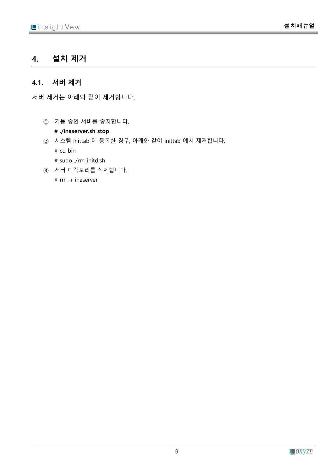# <span id="page-8-0"></span>**4. 설치 제거**

#### <span id="page-8-1"></span>**4.1. 서버 제거**

서버 제거는 아래와 같이 제거합니다.

① 기동 중인 서버를 중지합니다.

**# ./inaserver.sh stop**

- ② 시스템 inittab 에 등록한 경우, 아래와 같이 inittab 에서 제거합니다. # cd bin # sudo ./rm\_initd.sh
- ③ 서버 디렉토리를 삭제합니다.

# rm -r inaserver